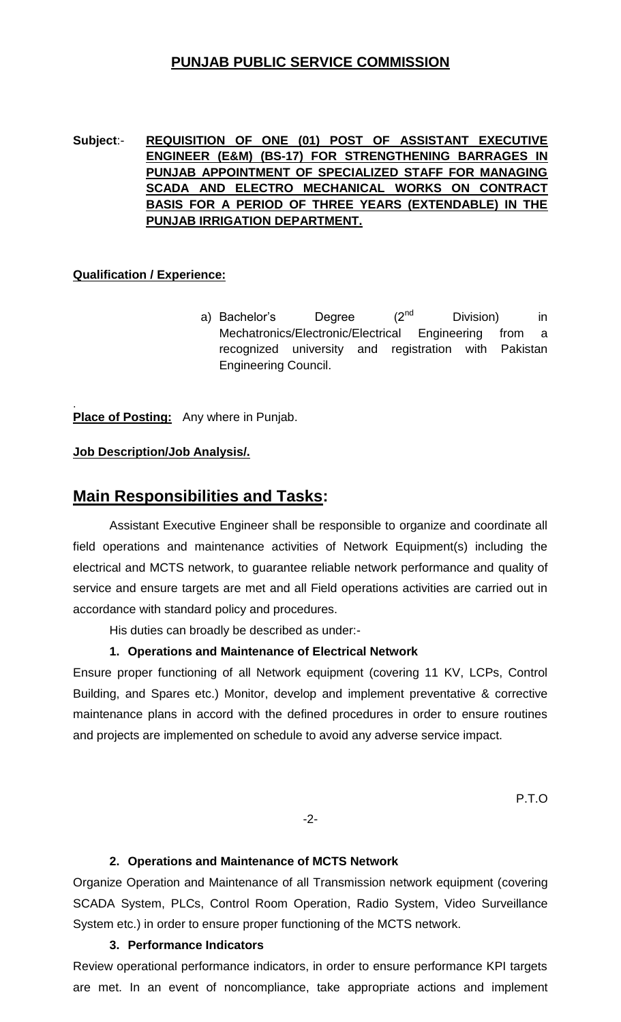## **PUNJAB PUBLIC SERVICE COMMISSION**

### **Subject**:- **REQUISITION OF ONE (01) POST OF ASSISTANT EXECUTIVE ENGINEER (E&M) (BS-17) FOR STRENGTHENING BARRAGES IN PUNJAB APPOINTMENT OF SPECIALIZED STAFF FOR MANAGING SCADA AND ELECTRO MECHANICAL WORKS ON CONTRACT BASIS FOR A PERIOD OF THREE YEARS (EXTENDABLE) IN THE PUNJAB IRRIGATION DEPARTMENT.**

### **Qualification / Experience:**

a) Bachelor's Degree (2<sup>nd</sup> Division) in Mechatronics/Electronic/Electrical Engineering from a recognized university and registration with Pakistan Engineering Council.

. **Place of Posting:** Any where in Punjab.

### **Job Description/Job Analysis/.**

# **Main Responsibilities and Tasks:**

Assistant Executive Engineer shall be responsible to organize and coordinate all field operations and maintenance activities of Network Equipment(s) including the electrical and MCTS network, to guarantee reliable network performance and quality of service and ensure targets are met and all Field operations activities are carried out in accordance with standard policy and procedures.

His duties can broadly be described as under:-

#### **1. Operations and Maintenance of Electrical Network**

Ensure proper functioning of all Network equipment (covering 11 KV, LCPs, Control Building, and Spares etc.) Monitor, develop and implement preventative & corrective maintenance plans in accord with the defined procedures in order to ensure routines and projects are implemented on schedule to avoid any adverse service impact.

P.T.O

-2-

#### **2. Operations and Maintenance of MCTS Network**

Organize Operation and Maintenance of all Transmission network equipment (covering SCADA System, PLCs, Control Room Operation, Radio System, Video Surveillance System etc.) in order to ensure proper functioning of the MCTS network.

#### **3. Performance Indicators**

Review operational performance indicators, in order to ensure performance KPI targets are met. In an event of noncompliance, take appropriate actions and implement